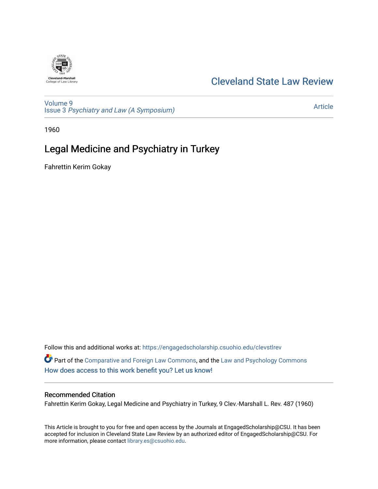# **Cleveland-Marshall**<br>College of Law Library

### [Cleveland State Law Review](https://engagedscholarship.csuohio.edu/clevstlrev)

[Volume 9](https://engagedscholarship.csuohio.edu/clevstlrev/vol9) Issue 3 [Psychiatry and Law \(A Symposium\)](https://engagedscholarship.csuohio.edu/clevstlrev/vol9/iss3) 

[Article](https://engagedscholarship.csuohio.edu/clevstlrev/vol9/iss3/9) 

1960

## Legal Medicine and Psychiatry in Turkey

Fahrettin Kerim Gokay

Follow this and additional works at: [https://engagedscholarship.csuohio.edu/clevstlrev](https://engagedscholarship.csuohio.edu/clevstlrev?utm_source=engagedscholarship.csuohio.edu%2Fclevstlrev%2Fvol9%2Fiss3%2F9&utm_medium=PDF&utm_campaign=PDFCoverPages) Part of the [Comparative and Foreign Law Commons,](http://network.bepress.com/hgg/discipline/836?utm_source=engagedscholarship.csuohio.edu%2Fclevstlrev%2Fvol9%2Fiss3%2F9&utm_medium=PDF&utm_campaign=PDFCoverPages) and the [Law and Psychology Commons](http://network.bepress.com/hgg/discipline/870?utm_source=engagedscholarship.csuohio.edu%2Fclevstlrev%2Fvol9%2Fiss3%2F9&utm_medium=PDF&utm_campaign=PDFCoverPages) [How does access to this work benefit you? Let us know!](http://library.csuohio.edu/engaged/)

#### Recommended Citation

Fahrettin Kerim Gokay, Legal Medicine and Psychiatry in Turkey, 9 Clev.-Marshall L. Rev. 487 (1960)

This Article is brought to you for free and open access by the Journals at EngagedScholarship@CSU. It has been accepted for inclusion in Cleveland State Law Review by an authorized editor of EngagedScholarship@CSU. For more information, please contact [library.es@csuohio.edu](mailto:library.es@csuohio.edu).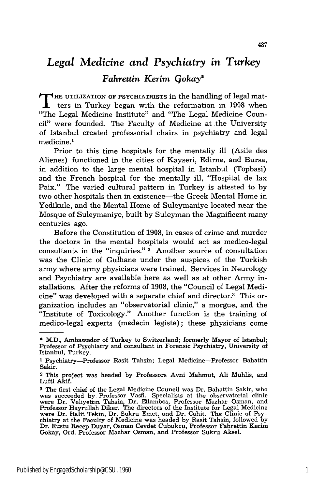# *Legal Medicine and Psychiatry in Turkey*

#### *Fahrettin Kerim Gokay\**

**T HE** UTILIZATION OF PSYCHIATRISTS in the handling of legal matters in Turkey began with the reformation in 1908 when "The Legal Medicine Institute" and "The Legal Medicine Council" were founded. The Faculty of Medicine at the University of Istanbul created professorial chairs in psychiatry and legal medicine.<sup>1</sup>

Prior to this time hospitals for the mentally ill (Asile des Alienes) functioned in the cities of Kayseri, Edirne, and Bursa, in addition to the large mental hospital in Istanbul (Topbasi) and the French hospital for the mentally ill, "Hospital de lax Paix." The varied cultural pattern in Turkey is attested to by two other hospitals then in existence—the Greek Mental Home in Yedikule, and the Mental Home of Suleymaniye located near the Mosque of Suleymaniye, built by Suleyman the Magnificent many centuries ago.

Before the Constitution of 1908, in cases of crime and murder the doctors in the mental hospitals would act as medico-legal consultants in the "inquiries." 2 Another source of consultation was the Clinic of Gulhane under the auspices of the Turkish army where army physicians were trained. Services in Neurology and Psychiatry are available here as well as at other Army installations. After the reforms of 1908, the "Council of Legal Medicine" was developed with a separate chief and director.<sup>3</sup> This organization includes an "observatorial clinic," a morgue, and the "Institute of Toxicology." Another function is the training of medico-legal experts (medecin legiste); these physicians come

<sup>\*</sup> M.D., Ambassador of Turkey to Switzerland; formerly Mayor of Istanbul; Professor of Psychiatry and consultant in Forensic Psychiatry, University of Istanbul, Turkey.

<sup>&</sup>lt;sup>1</sup> Psychiatry-Professor Rasit Tahsin; Legal Medicine-Professor Bahattin Sakir.

<sup>2</sup> This project was headed by Professors Avni Mahmut, Ali Muhlis, and Lufti Akif.

**<sup>3</sup>** The first chief of the Legal Medicine Council was Dr. Bahattin Sakir, who was succeeded **by,** Professor Vasfi. Specialists at the observatorial clinic were Dr. Veliyettin Tahsin, Dr. Eflambos, Professor Mazhar Osman, and Professor Hayrullah Diker. The directors of the Institute for Legal Medicine were Dr. Halit Tekin, Dr. Sukru Emet, and Dr. Cahit. The Clinic of Psychiatry at the Faculty of Medicine was headed by Rasit Tahsin, followed by Dr. Rustu Recep Duyar, Osman Cevdet Cubukcu, Professor Fahrettin Kerim Gokay, Ord. Professor Mazhar Osman, and Professor Sukru Aksel.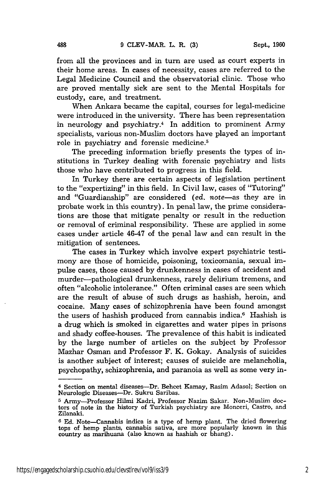from all the provinces and in turn are used as court experts in their home areas. In cases of necessity, cases are referred to the Legal Medicine Council and the observatorial clinic. Those who are proved mentally sick are sent to the Mental Hospitals for custody, care, and treatment.

When Ankara became the capital, courses for legal-medicine were introduced in the university. There has been representation in neurology and psychiatry.<sup>4</sup> In addition to prominent Army specialists, various non-Muslim doctors have played an important role in psychiatry and forensic medicine.5

The preceding information briefly presents the types of institutions in Turkey dealing with forensic psychiatry and lists those who have contributed to progress in this field.

In Turkey there are certain aspects of legislation pertinent to the "expertizing" in this field. In Civil law, cases of "Tutoring" and "Guardianship" are considered *(ed. note-as* they are in probate work in this country). In penal law, the prime considerations are those that mitigate penalty or result in the reduction or removal of criminal responsibility. These are applied in some cases under article 46-47 of the penal law and can result in the mitigation of sentences.

The cases in Turkey which involve expert psychiatric testimony are those of homicide, poisoning, toxicomania, sexual impulse cases, those caused by drunkenness in cases of accident and murder-pathological drunkenness, rarely delirium tremens, and often "alcoholic intolerance." Often criminal cases are seen which are the result of abuse of such drugs as hashish, heroin, and cocaine. Many cases of schizophrenia have been found amongst the users of hashish produced from cannabis indica.6 Hashish is a drug which is smoked in cigarettes and water pipes in prisons and shady coffee-houses. The prevalence of this habit is indicated by the large number of articles on the subject by Professor Mazhar Osman and Professor F. K. Gokay. Analysis of suicides is another subject of interest; causes of suicide are melancholia, psychopathy, schizophrenia, and paranoia as well as some very in-

**<sup>4</sup>**Section on mental diseases-Dr. Behcet Kamay, Rasim Adasol; Section on Neurologic Diseases-Dr. Sukru Saribas.

**<sup>5</sup>** Army-Professor Hilmi Kadri, Professor Nazim Sakar. Non-Muslim doctors of note in the history of Turkish psychiatry are Monceri, Castro, and Zilanaki.

**<sup>6</sup>** Ed. Note-Cannabis indica is a type of hemp plant. The dried flowering tops of hemp plants, cannabis sativa, are more popularly known in this country as marihuana (also known as hashish or bhang).